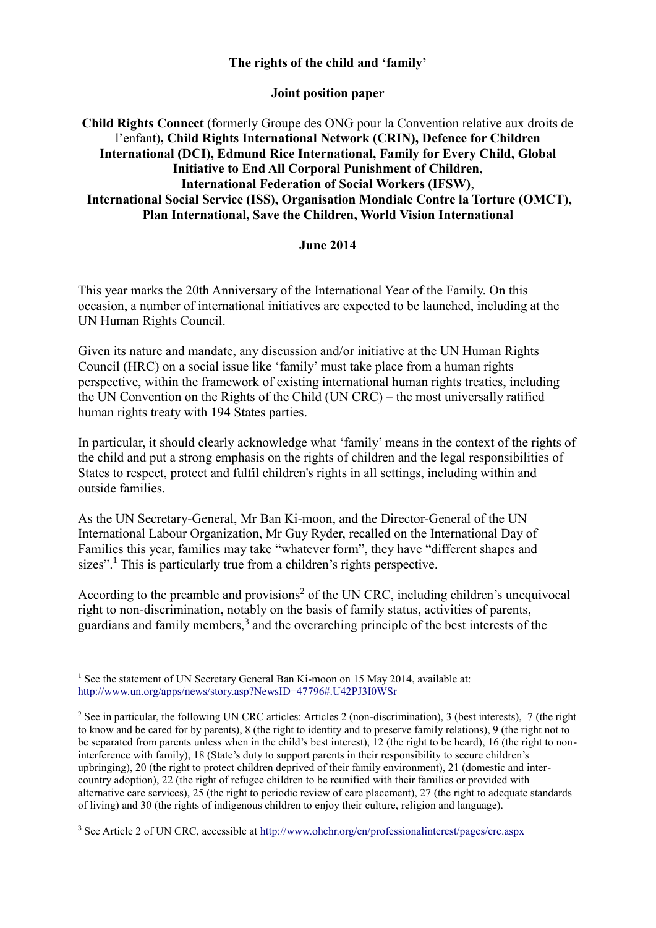#### **The rights of the child and 'family'**

# **Joint position paper**

# **Child Rights Connect** (formerly Groupe des ONG pour la Convention relative aux droits de l'enfant)**, Child Rights International Network (CRIN), Defence for Children International (DCI), Edmund Rice International, Family for Every Child, Global Initiative to End All Corporal Punishment of Children**, **International Federation of Social Workers (IFSW)**, **International Social Service (ISS), Organisation Mondiale Contre la Torture (OMCT), Plan International, Save the Children, World Vision International**

### **June 2014**

This year marks the 20th Anniversary of the International Year of the Family. On this occasion, a number of international initiatives are expected to be launched, including at the UN Human Rights Council.

Given its nature and mandate, any discussion and/or initiative at the UN Human Rights Council (HRC) on a social issue like 'family' must take place from a human rights perspective, within the framework of existing international human rights treaties, including the UN Convention on the Rights of the Child (UN CRC) – the most universally ratified human rights treaty with 194 States parties.

In particular, it should clearly acknowledge what 'family' means in the context of the rights of the child and put a strong emphasis on the rights of children and the legal responsibilities of States to respect, protect and fulfil children's rights in all settings, including within and outside families.

As the UN Secretary-General, Mr Ban Ki-moon, and the Director-General of the UN International Labour Organization, Mr Guy Ryder, recalled on the International Day of Families this year, families may take "whatever form", they have "different shapes and sizes".<sup>1</sup> This is particularly true from a children's rights perspective.

According to the preamble and provisions<sup>2</sup> of the UN CRC, including children's unequivocal right to non-discrimination, notably on the basis of family status, activities of parents, guardians and family members,<sup>3</sup> and the overarching principle of the best interests of the

<u>.</u>

<sup>&</sup>lt;sup>1</sup> See the statement of UN Secretary General Ban Ki-moon on 15 May 2014, available at: <http://www.un.org/apps/news/story.asp?NewsID=47796#.U42PJ3I0WSr>

<sup>&</sup>lt;sup>2</sup> See in particular, the following UN CRC articles: Articles 2 (non-discrimination), 3 (best interests), 7 (the right to know and be cared for by parents), 8 (the right to identity and to preserve family relations), 9 (the right not to be separated from parents unless when in the child's best interest), 12 (the right to be heard), 16 (the right to noninterference with family), 18 (State's duty to support parents in their responsibility to secure children's upbringing), 20 (the right to protect children deprived of their family environment), 21 (domestic and intercountry adoption), 22 (the right of refugee children to be reunified with their families or provided with alternative care services), 25 (the right to periodic review of care placement), 27 (the right to adequate standards of living) and 30 (the rights of indigenous children to enjoy their culture, religion and language).

<sup>3</sup> See Article 2 of UN CRC, accessible at <http://www.ohchr.org/en/professionalinterest/pages/crc.aspx>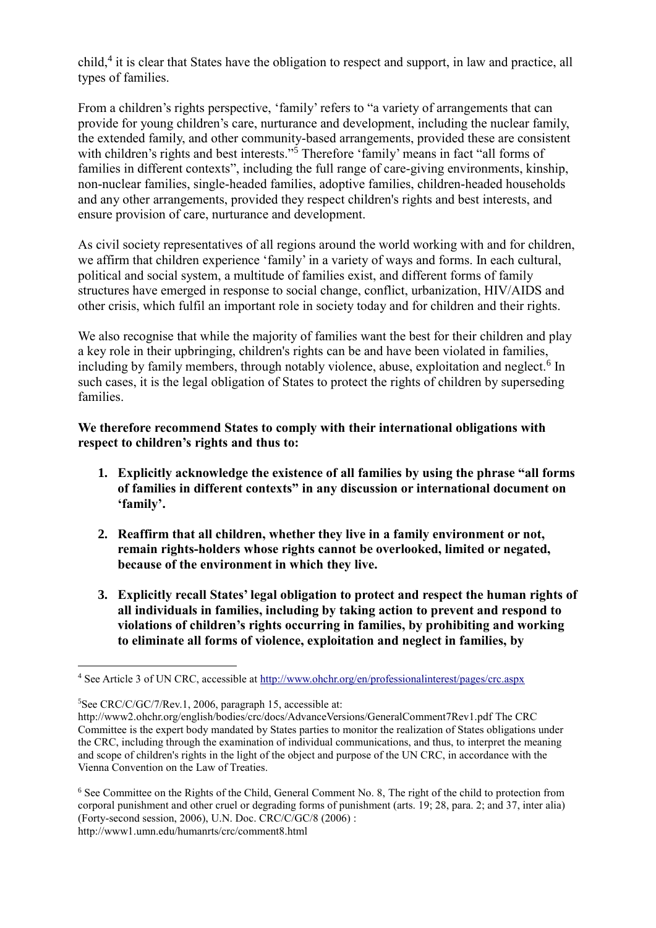child,<sup>4</sup> it is clear that States have the obligation to respect and support, in law and practice, all types of families.

From a children's rights perspective, 'family' refers to "a variety of arrangements that can provide for young children's care, nurturance and development, including the nuclear family, the extended family, and other community-based arrangements, provided these are consistent with children's rights and best interests."<sup>5</sup> Therefore 'family' means in fact "all forms of families in different contexts", including the full range of care-giving environments, kinship, non-nuclear families, single-headed families, adoptive families, children-headed households and any other arrangements, provided they respect children's rights and best interests, and ensure provision of care, nurturance and development.

As civil society representatives of all regions around the world working with and for children, we affirm that children experience 'family' in a variety of ways and forms. In each cultural, political and social system, a multitude of families exist, and different forms of family structures have emerged in response to social change, conflict, urbanization, HIV/AIDS and other crisis, which fulfil an important role in society today and for children and their rights.

We also recognise that while the majority of families want the best for their children and play a key role in their upbringing, children's rights can be and have been violated in families, including by family members, through notably violence, abuse, exploitation and neglect.<sup>6</sup> In such cases, it is the legal obligation of States to protect the rights of children by superseding families.

# **We therefore recommend States to comply with their international obligations with respect to children's rights and thus to:**

- **1. Explicitly acknowledge the existence of all families by using the phrase "all forms of families in different contexts" in any discussion or international document on 'family'.**
- **2. Reaffirm that all children, whether they live in a family environment or not, remain rights-holders whose rights cannot be overlooked, limited or negated, because of the environment in which they live.**
- **3. Explicitly recall States' legal obligation to protect and respect the human rights of all individuals in families, including by taking action to prevent and respond to violations of children's rights occurring in families, by prohibiting and working to eliminate all forms of violence, exploitation and neglect in families, by**

<u>.</u>

<sup>4</sup> See Article 3 of UN CRC, accessible at <http://www.ohchr.org/en/professionalinterest/pages/crc.aspx>

<sup>5</sup>See CRC/C/GC/7/Rev.1, 2006, paragraph 15, accessible at:

<http://www2.ohchr.org/english/bodies/crc/docs/AdvanceVersions/GeneralComment7Rev1.pdf> The CRC Committee is the expert body mandated by States parties to monitor the realization of States obligations under the CRC, including through the examination of individual communications, and thus, to interpret the meaning and scope of children's rights in the light of the object and purpose of the UN CRC, in accordance with the Vienna Convention on the Law of Treaties.

<sup>6</sup> See Committee on the Rights of the Child, General Comment No. 8, The right of the child to protection from corporal punishment and other cruel or degrading forms of punishment (arts. 19; 28, para. 2; and 37, inter alia) (Forty-second session, 2006), U.N. Doc. CRC/C/GC/8 (2006) : <http://www1.umn.edu/humanrts/crc/comment8.html>